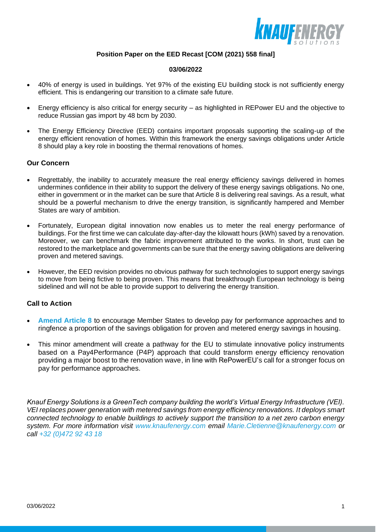

## **Position Paper on the EED Recast [COM (2021) 558 final]**

#### **03/06/2022**

- 40% of energy is used in buildings. Yet 97% of the existing EU building stock is not sufficiently energy efficient. This is endangering our transition to a climate safe future.
- Energy efficiency is also critical for energy security as highlighted in REPower EU and the objective to reduce Russian gas import by 48 bcm by 2030.
- The Energy Efficiency Directive (EED) contains important proposals supporting the scaling-up of the energy efficient renovation of homes. Within this framework the energy savings obligations under Article 8 should play a key role in boosting the thermal renovations of homes.

### **Our Concern**

- Regrettably, the inability to accurately measure the real energy efficiency savings delivered in homes undermines confidence in their ability to support the delivery of these energy savings obligations. No one, either in government or in the market can be sure that Article 8 is delivering real savings. As a result, what should be a powerful mechanism to drive the energy transition, is significantly hampered and Member States are wary of ambition.
- Fortunately, European digital innovation now enables us to meter the real energy performance of buildings. For the first time we can calculate day-after-day the kilowatt hours (kWh) saved by a renovation. Moreover, we can benchmark the fabric improvement attributed to the works. In short, trust can be restored to the marketplace and governments can be sure that the energy saving obligations are delivering proven and metered savings.
- However, the EED revision provides no obvious pathway for such technologies to support energy savings to move from being fictive to being proven. This means that breakthrough European technology is being sidelined and will not be able to provide support to delivering the energy transition.

## **Call to Action**

- **Amend Article 8** to encourage Member States to develop pay for performance approaches and to ringfence a proportion of the savings obligation for proven and metered energy savings in housing.
- This minor amendment will create a pathway for the EU to stimulate innovative policy instruments based on a Pay4Performance (P4P) approach that could transform energy efficiency renovation providing a major boost to the renovation wave, in line with RePowerEU's call for a stronger focus on pay for performance approaches.

*Knauf Energy Solutions is a GreenTech company building the world's Virtual Energy Infrastructure (VEI). VEI replaces power generation with metered savings from energy efficiency renovations. It deploys smart connected technology to enable buildings to actively support the transition to a net zero carbon energy system. For more information visit www.knaufenergy.com email Marie.Cletienne@knaufenergy.com or call +32 (0)472 92 43 18*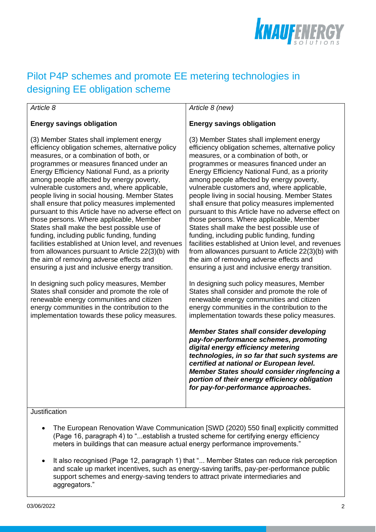

# Pilot P4P schemes and promote EE metering technologies in designing EE obligation scheme

## *Article 8*

# **Energy savings obligation**

(3) Member States shall implement energy efficiency obligation schemes, alternative policy measures, or a combination of both, or programmes or measures financed under an Energy Efficiency National Fund, as a priority among people affected by energy poverty, vulnerable customers and, where applicable, people living in social housing. Member States shall ensure that policy measures implemented pursuant to this Article have no adverse effect on those persons. Where applicable, Member States shall make the best possible use of funding, including public funding, funding facilities established at Union level, and revenues from allowances pursuant to Article 22(3)(b) with the aim of removing adverse effects and ensuring a just and inclusive energy transition.

In designing such policy measures, Member States shall consider and promote the role of renewable energy communities and citizen energy communities in the contribution to the implementation towards these policy measures. *Article 8 (new)*

# **Energy savings obligation**

(3) Member States shall implement energy efficiency obligation schemes, alternative policy measures, or a combination of both, or programmes or measures financed under an Energy Efficiency National Fund, as a priority among people affected by energy poverty, vulnerable customers and, where applicable, people living in social housing. Member States shall ensure that policy measures implemented pursuant to this Article have no adverse effect on those persons. Where applicable, Member States shall make the best possible use of funding, including public funding, funding facilities established at Union level, and revenues from allowances pursuant to Article 22(3)(b) with the aim of removing adverse effects and ensuring a just and inclusive energy transition.

In designing such policy measures, Member States shall consider and promote the role of renewable energy communities and citizen energy communities in the contribution to the implementation towards these policy measures.

*Member States shall consider developing pay-for-performance schemes, promoting digital energy efficiency metering technologies, in so far that such systems are certified at national or European level. Member States should consider ringfencing a portion of their energy efficiency obligation for pay-for-performance approaches.* 

# **Justification**

- The European Renovation Wave Communication [SWD (2020) 550 final] explicitly committed (Page 16, paragraph 4) to "...establish a trusted scheme for certifying energy efficiency meters in buildings that can measure actual energy performance improvements."
- It also recognised (Page 12, paragraph 1) that "... Member States can reduce risk perception and scale up market incentives, such as energy-saving tariffs, pay-per-performance public support schemes and energy-saving tenders to attract private intermediaries and aggregators."